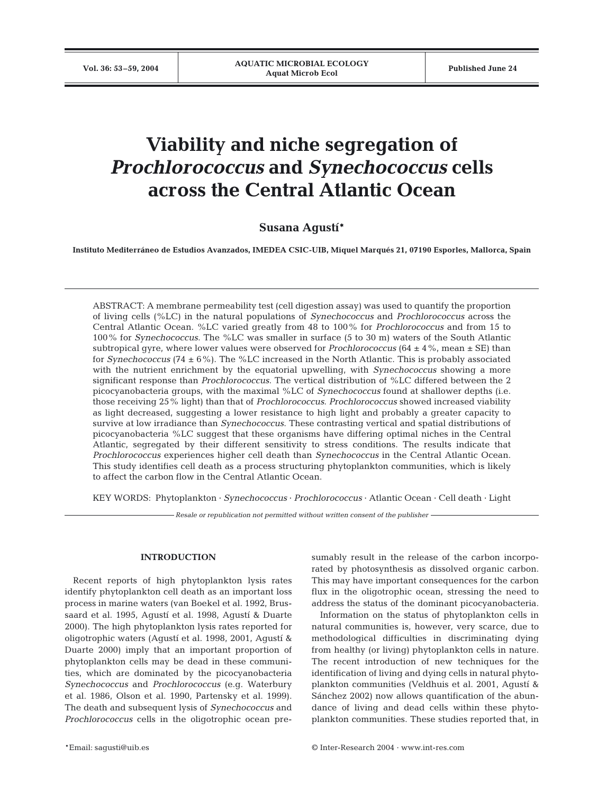# **Viability and niche segregation of**  *Prochlorococcus* **and** *Synechococcus* **cells across the Central Atlantic Ocean**

## **Susana Agustí\***

**Instituto Mediterráneo de Estudios Avanzados, IMEDEA CSIC-UIB, Miquel Marqués 21, 07190 Esporles, Mallorca, Spain**

ABSTRACT: A membrane permeability test (cell digestion assay) was used to quantify the proportion of living cells (%LC) in the natural populations of *Synechococcus* and *Prochlorococcus* across the Central Atlantic Ocean. %LC varied greatly from 48 to 100% for *Prochlorococcus* and from 15 to 100% for *Synechococcus*. The %LC was smaller in surface (5 to 30 m) waters of the South Atlantic subtropical gyre, where lower values were observed for *Prochlorococcus* ( $64 \pm 4\%$ , mean  $\pm$  SE) than for *Synechococcus* (74 ± 6%). The %LC increased in the North Atlantic. This is probably associated with the nutrient enrichment by the equatorial upwelling, with *Synechococcus* showing a more significant response than *Prochlorococcus*. The vertical distribution of %LC differed between the 2 picocyanobacteria groups, with the maximal %LC of *Synechococcus* found at shallower depths (i.e. those receiving 25% light) than that of *Prochlorococcus*. *Prochlorococcus* showed increased viability as light decreased, suggesting a lower resistance to high light and probably a greater capacity to survive at low irradiance than *Synechococcus*. These contrasting vertical and spatial distributions of picocyanobacteria %LC suggest that these organisms have differing optimal niches in the Central Atlantic, segregated by their different sensitivity to stress conditions. The results indicate that *Prochlorococcus* experiences higher cell death than *Synechococcus* in the Central Atlantic Ocean. This study identifies cell death as a process structuring phytoplankton communities, which is likely to affect the carbon flow in the Central Atlantic Ocean.

KEY WORDS: Phytoplankton · *Synechococcus* · *Prochlorococcus* · Atlantic Ocean · Cell death · Light

*Resale or republication not permitted without written consent of the publisher*

### **INTRODUCTION**

Recent reports of high phytoplankton lysis rates identify phytoplankton cell death as an important loss process in marine waters (van Boekel et al. 1992, Brussaard et al. 1995, Agustí et al. 1998, Agustí & Duarte 2000). The high phytoplankton lysis rates reported for oligotrophic waters (Agustí et al. 1998, 2001, Agustí & Duarte 2000) imply that an important proportion of phytoplankton cells may be dead in these communities, which are dominated by the picocyanobacteria *Synechococcus* and *Prochlorococcus* (e.g. Waterbury et al. 1986, Olson et al. 1990, Partensky et al. 1999). The death and subsequent lysis of *Synechococcus* and *Prochlorococcus* cells in the oligotrophic ocean pre-

sumably result in the release of the carbon incorporated by photosynthesis as dissolved organic carbon. This may have important consequences for the carbon flux in the oligotrophic ocean, stressing the need to address the status of the dominant picocyanobacteria.

Information on the status of phytoplankton cells in natural communities is, however, very scarce, due to methodological difficulties in discriminating dying from healthy (or living) phytoplankton cells in nature. The recent introduction of new techniques for the identification of living and dying cells in natural phytoplankton communities (Veldhuis et al. 2001, Agustí & Sánchez 2002) now allows quantification of the abundance of living and dead cells within these phytoplankton communities. These studies reported that, in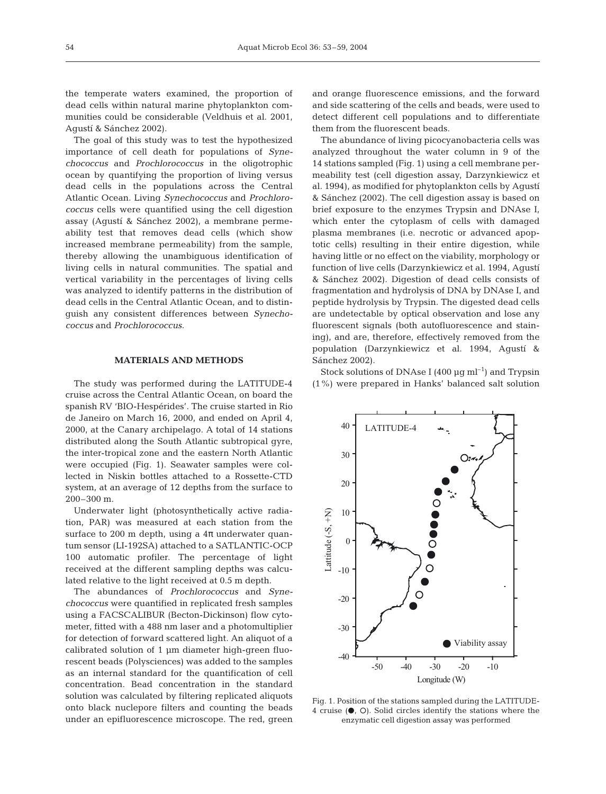the temperate waters examined, the proportion of dead cells within natural marine phytoplankton communities could be considerable (Veldhuis et al. 2001, Agustí & Sánchez 2002).

The goal of this study was to test the hypothesized importance of cell death for populations of *Synechococcus* and *Prochlorococcus* in the oligotrophic ocean by quantifying the proportion of living versus dead cells in the populations across the Central Atlantic Ocean. Living *Synechococcus* and *Prochlorococcus* cells were quantified using the cell digestion assay (Agustí & Sánchez 2002), a membrane permeability test that removes dead cells (which show increased membrane permeability) from the sample, thereby allowing the unambiguous identification of living cells in natural communities. The spatial and vertical variability in the percentages of living cells was analyzed to identify patterns in the distribution of dead cells in the Central Atlantic Ocean, and to distinguish any consistent differences between *Synechococcus* and *Prochlorococcus.*

#### **MATERIALS AND METHODS**

The study was performed during the LATITUDE-4 cruise across the Central Atlantic Ocean, on board the spanish RV 'BIO-Hespérides'. The cruise started in Rio de Janeiro on March 16, 2000, and ended on April 4, 2000, at the Canary archipelago. A total of 14 stations distributed along the South Atlantic subtropical gyre, the inter-tropical zone and the eastern North Atlantic were occupied (Fig. 1). Seawater samples were collected in Niskin bottles attached to a Rossette-CTD system, at an average of 12 depths from the surface to 200–300 m.

Underwater light (photosynthetically active radiation, PAR) was measured at each station from the surface to 200 m depth, using a  $4\pi$  underwater quantum sensor (LI-192SA) attached to a SATLANTIC-OCP 100 automatic profiler. The percentage of light received at the different sampling depths was calculated relative to the light received at 0.5 m depth.

The abundances of *Prochlorococcus* and *Synechococcus* were quantified in replicated fresh samples using a FACSCALIBUR (Becton-Dickinson) flow cytometer, fitted with a 488 nm laser and a photomultiplier for detection of forward scattered light. An aliquot of a calibrated solution of 1 µm diameter high-green fluorescent beads (Polysciences) was added to the samples as an internal standard for the quantification of cell concentration. Bead concentration in the standard solution was calculated by filtering replicated aliquots onto black nuclepore filters and counting the beads under an epifluorescence microscope. The red, green

and orange fluorescence emissions, and the forward and side scattering of the cells and beads, were used to detect different cell populations and to differentiate them from the fluorescent beads.

The abundance of living picocyanobacteria cells was analyzed throughout the water column in 9 of the 14 stations sampled (Fig. 1) using a cell membrane permeability test (cell digestion assay, Darzynkiewicz et al. 1994), as modified for phytoplankton cells by Agustí & Sánchez (2002). The cell digestion assay is based on brief exposure to the enzymes Trypsin and DNAse I, which enter the cytoplasm of cells with damaged plasma membranes (i.e. necrotic or advanced apoptotic cells) resulting in their entire digestion, while having little or no effect on the viability, morphology or function of live cells (Darzynkiewicz et al. 1994, Agustí & Sánchez 2002). Digestion of dead cells consists of fragmentation and hydrolysis of DNA by DNAse I, and peptide hydrolysis by Trypsin. The digested dead cells are undetectable by optical observation and lose any fluorescent signals (both autofluorescence and staining), and are, therefore, effectively removed from the population (Darzynkiewicz et al. 1994, Agustí & Sánchez 2002).

Stock solutions of DNAse I (400  $\mu$ g ml<sup>-1</sup>) and Trypsin (1%) were prepared in Hanks' balanced salt solution



Fig. 1. Position of the stations sampled during the LATITUDE-4 cruise  $(①, ①)$ . Solid circles identify the stations where the enzymatic cell digestion assay was performed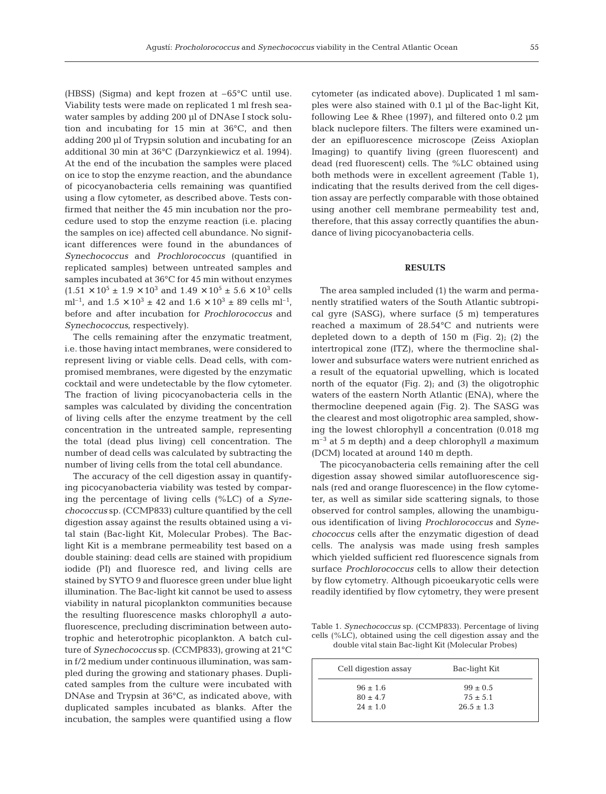(HBSS) (Sigma) and kept frozen at –65°C until use. Viability tests were made on replicated 1 ml fresh seawater samples by adding 200 µl of DNAse I stock solution and incubating for 15 min at 36°C, and then adding 200 µl of Trypsin solution and incubating for an additional 30 min at 36°C (Darzynkiewicz et al. 1994). At the end of the incubation the samples were placed on ice to stop the enzyme reaction, and the abundance of picocyanobacteria cells remaining was quantified using a flow cytometer, as described above. Tests confirmed that neither the 45 min incubation nor the procedure used to stop the enzyme reaction (i.e. placing the samples on ice) affected cell abundance. No significant differences were found in the abundances of *Synechococcus* and *Prochlorococcus* (quantified in replicated samples) between untreated samples and samples incubated at 36°C for 45 min without enzymes  $(1.51 \times 10^5 \pm 1.9 \times 10^3 \text{ and } 1.49 \times 10^5 \pm 5.6 \times 10^3 \text{ cells})$ ml<sup>-1</sup>, and  $1.5 \times 10^3 \pm 42$  and  $1.6 \times 10^3 \pm 89$  cells ml<sup>-1</sup>, before and after incubation for *Prochlorococcus* and *Synechococcus*, respectively).

The cells remaining after the enzymatic treatment, i.e. those having intact membranes, were considered to represent living or viable cells. Dead cells, with compromised membranes, were digested by the enzymatic cocktail and were undetectable by the flow cytometer. The fraction of living picocyanobacteria cells in the samples was calculated by dividing the concentration of living cells after the enzyme treatment by the cell concentration in the untreated sample, representing the total (dead plus living) cell concentration. The number of dead cells was calculated by subtracting the number of living cells from the total cell abundance.

The accuracy of the cell digestion assay in quantifying picocyanobacteria viability was tested by comparing the percentage of living cells (%LC) of a *Synechococcus* sp. (CCMP833) culture quantified by the cell digestion assay against the results obtained using a vital stain (Bac-light Kit, Molecular Probes). The Baclight Kit is a membrane permeability test based on a double staining: dead cells are stained with propidium iodide (PI) and fluoresce red, and living cells are stained by SYTO 9 and fluoresce green under blue light illumination. The Bac-light kit cannot be used to assess viability in natural picoplankton communities because the resulting fluorescence masks chlorophyll *a* autofluorescence, precluding discrimination between autotrophic and heterotrophic picoplankton. A batch culture of *Synechococcus* sp. (CCMP833), growing at 21°C in f/2 medium under continuous illumination, was sampled during the growing and stationary phases. Duplicated samples from the culture were incubated with DNAse and Trypsin at 36°C, as indicated above, with duplicated samples incubated as blanks. After the incubation, the samples were quantified using a flow

cytometer (as indicated above). Duplicated 1 ml samples were also stained with 0.1 µl of the Bac-light Kit, following Lee & Rhee (1997), and filtered onto 0.2 µm black nuclepore filters. The filters were examined under an epifluorescence microscope (Zeiss Axioplan Imaging) to quantify living (green fluorescent) and dead (red fluorescent) cells. The %LC obtained using both methods were in excellent agreement (Table 1), indicating that the results derived from the cell digestion assay are perfectly comparable with those obtained using another cell membrane permeability test and, therefore, that this assay correctly quantifies the abundance of living picocyanobacteria cells.

#### **RESULTS**

The area sampled included (1) the warm and permanently stratified waters of the South Atlantic subtropical gyre (SASG), where surface (5 m) temperatures reached a maximum of 28.54°C and nutrients were depleted down to a depth of 150 m (Fig. 2); (2) the intertropical zone (ITZ), where the thermocline shallower and subsurface waters were nutrient enriched as a result of the equatorial upwelling, which is located north of the equator (Fig. 2); and (3) the oligotrophic waters of the eastern North Atlantic (ENA), where the thermocline deepened again (Fig. 2). The SASG was the clearest and most oligotrophic area sampled, showing the lowest chlorophyll *a* concentration (0.018 mg m–3 at 5 m depth) and a deep chlorophyll *a* maximum (DCM) located at around 140 m depth.

The picocyanobacteria cells remaining after the cell digestion assay showed similar autofluorescence signals (red and orange fluorescence) in the flow cytometer, as well as similar side scattering signals, to those observed for control samples, allowing the unambiguous identification of living *Prochlorococcus* and *Synechococcus* cells after the enzymatic digestion of dead cells. The analysis was made using fresh samples which yielded sufficient red fluorescence signals from surface *Prochlorococcus* cells to allow their detection by flow cytometry. Although picoeukaryotic cells were readily identified by flow cytometry, they were present

Table 1. *Synechococcus* sp. (CCMP833). Percentage of living cells (%LC), obtained using the cell digestion assay and the double vital stain Bac-light Kit (Molecular Probes)

| Cell digestion assay | Bac-light Kit  |  |
|----------------------|----------------|--|
| $.96 \pm 1.6$        | $99 \pm 0.5$   |  |
| $80 \pm 4.7$         | $75 \pm 5.1$   |  |
| $24 \pm 1.0$         | $26.5 \pm 1.3$ |  |
|                      |                |  |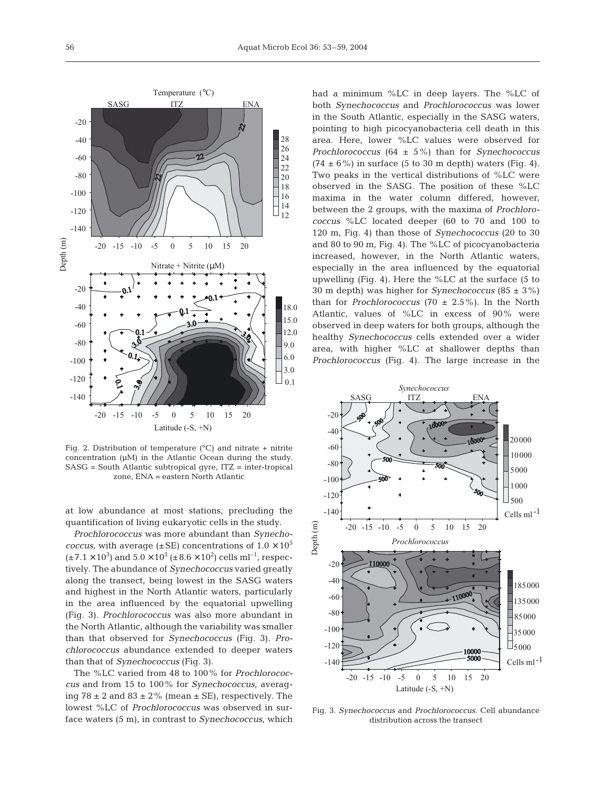

Fig. 2. Distribution of temperature ( $^{\circ}$ C) and nitrate + nitrite concentration (µM) in the Atlantic Ocean during the study. SASG = South Atlantic subtropical gyre, ITZ = inter-tropical zone, ENA = eastern North Atlantic

at low abundance at most stations, precluding the quantification of living eukaryotic cells in the study.

*Prochlorococcus* was more abundant than *Synechococcus*, with average ( $\pm$ SE) concentrations of  $1.0 \times 10^5$  $(\pm 7.1 \times 10^3)$  and  $5.0 \times 10^3$   $(\pm 8.6 \times 10^2)$  cells ml<sup>-1</sup>, respectively. The abundance of *Synechococcus* varied greatly along the transect, being lowest in the SASG waters and highest in the North Atlantic waters, particularly in the area influenced by the equatorial upwelling (Fig. 3). *Prochlorococcus* was also more abundant in the North Atlantic, although the variability was smaller than that observed for *Synechococcus* (Fig. 3). *Prochlorococcus* abundance extended to deeper waters than that of *Synechococcus* (Fig. 3).

The %LC varied from 48 to 100% for *Prochlorococcus* and from 15 to 100% for *Synechococcus*, averaging  $78 \pm 2$  and  $83 \pm 2$ % (mean  $\pm$  SE), respectively. The lowest %LC of *Prochlorococcus* was observed in surface waters (5 m), in contrast to *Synechococcus*, which had a minimum %LC in deep layers. The %LC of both *Synechococcus* and *Prochlorococcus* was lower in the South Atlantic, especially in the SASG waters, pointing to high picocyanobacteria cell death in this area. Here, lower %LC values were observed for *Prochlorococcus* (64 ± 5%) than for *Synechococcus*  $(74 \pm 6\%)$  in surface (5 to 30 m depth) waters (Fig. 4). Two peaks in the vertical distributions of %LC were observed in the SASG. The position of these %LC maxima in the water column differed, however, between the 2 groups, with the maxima of *Prochlorococcus* %LC located deeper (60 to 70 and 100 to 120 m, Fig. 4) than those of *Synechococcus* (20 to 30 and 80 to 90 m, Fig. 4). The %LC of picocyanobacteria increased, however, in the North Atlantic waters, especially in the area influenced by the equatorial upwelling (Fig. 4). Here the %LC at the surface (5 to 30 m depth) was higher for *Synechococcus* (85 ± 3%) than for *Prochlorococcus* (70  $\pm$  2.5%). In the North Atlantic, values of %LC in excess of 90% were observed in deep waters for both groups, although the healthy *Synechococcus* cells extended over a wider area, with higher %LC at shallower depths than *Prochlorococcus* (Fig. 4). The large increase in the



Fig. 3. *Synechococcus* and *Prochlorococcus*. Cell abundance distribution across the transect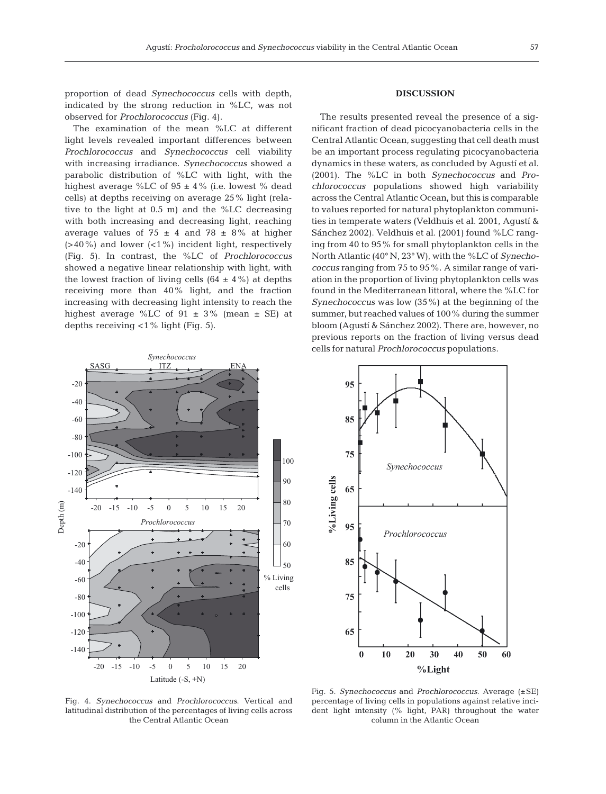The examination of the mean %LC at different light levels revealed important differences between *Prochlorococcus* and *Synechococcus* cell viability with increasing irradiance*. Synechococcus* showed a parabolic distribution of %LC with light, with the highest average %LC of  $95 \pm 4$ % (i.e. lowest % dead cells) at depths receiving on average 25% light (relative to the light at 0.5 m) and the %LC decreasing with both increasing and decreasing light, reaching average values of  $75 \pm 4$  and  $78 \pm 8\%$  at higher  $(>40\%)$  and lower  $(<1\%)$  incident light, respectively (Fig. 5). In contrast, the %LC of *Prochlorococcus* showed a negative linear relationship with light, with the lowest fraction of living cells  $(64 \pm 4\%)$  at depths receiving more than 40% light, and the fraction increasing with decreasing light intensity to reach the highest average %LC of  $91 \pm 3$ % (mean  $\pm$  SE) at depths receiving <1% light (Fig. 5).

#### **DISCUSSION**

The results presented reveal the presence of a significant fraction of dead picocyanobacteria cells in the Central Atlantic Ocean, suggesting that cell death must be an important process regulating picocyanobacteria dynamics in these waters, as concluded by Agustí et al. (2001). The %LC in both *Synechococcus* and *Prochlorococcus* populations showed high variability across the Central Atlantic Ocean, but this is comparable to values reported for natural phytoplankton communities in temperate waters (Veldhuis et al. 2001, Agustí & Sánchez 2002). Veldhuis et al. (2001) found %LC ranging from 40 to 95% for small phytoplankton cells in the North Atlantic (40° N, 23° W), with the %LC of *Synechococcus* ranging from 75 to 95%. A similar range of variation in the proportion of living phytoplankton cells was found in the Mediterranean littoral, where the %LC for *Synechococcus* was low (35%) at the beginning of the summer, but reached values of 100% during the summer bloom (Agustí & Sánchez 2002). There are, however, no previous reports on the fraction of living versus dead cells for natural *Prochlorococcus* populations.





Fig. 4. *Synechococcus* and *Prochlorococcus*. Vertical and latitudinal distribution of the percentages of living cells across the Central Atlantic Ocean

Fig. 5. *Synechococcus* and *Prochlorococcus*. Average (±SE) percentage of living cells in populations against relative incident light intensity (% light, PAR) throughout the water column in the Atlantic Ocean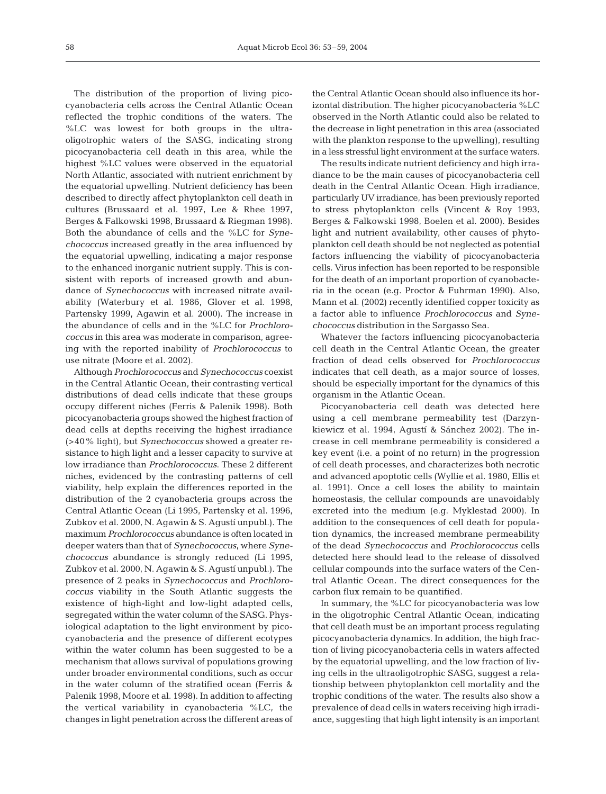The distribution of the proportion of living picocyanobacteria cells across the Central Atlantic Ocean reflected the trophic conditions of the waters. The %LC was lowest for both groups in the ultraoligotrophic waters of the SASG, indicating strong picocyanobacteria cell death in this area, while the highest %LC values were observed in the equatorial North Atlantic, associated with nutrient enrichment by the equatorial upwelling. Nutrient deficiency has been described to directly affect phytoplankton cell death in cultures (Brussaard et al. 1997, Lee & Rhee 1997, Berges & Falkowski 1998, Brussaard & Riegman 1998). Both the abundance of cells and the %LC for *Synechococcus* increased greatly in the area influenced by the equatorial upwelling, indicating a major response to the enhanced inorganic nutrient supply. This is consistent with reports of increased growth and abundance of *Synechococcus* with increased nitrate availability (Waterbury et al. 1986, Glover et al. 1998, Partensky 1999, Agawin et al. 2000). The increase in the abundance of cells and in the %LC for *Prochlorococcus* in this area was moderate in comparison, agreeing with the reported inability of *Prochlorococcus* to use nitrate (Moore et al. 2002).

Although *Prochlorococcus* and *Synechococcus* coexist in the Central Atlantic Ocean, their contrasting vertical distributions of dead cells indicate that these groups occupy different niches (Ferris & Palenik 1998). Both picocyanobacteria groups showed the highest fraction of dead cells at depths receiving the highest irradiance (>40% light), but *Synechococcus* showed a greater resistance to high light and a lesser capacity to survive at low irradiance than *Prochlorococcus*. These 2 different niches, evidenced by the contrasting patterns of cell viability, help explain the differences reported in the distribution of the 2 cyanobacteria groups across the Central Atlantic Ocean (Li 1995, Partensky et al. 1996, Zubkov et al. 2000, N. Agawin & S. Agustí unpubl.). The maximum *Prochlorococcus* abundance is often located in deeper waters than that of *Synechococcus*, where *Synechococcus* abundance is strongly reduced (Li 1995, Zubkov et al. 2000, N. Agawin & S. Agustí unpubl.). The presence of 2 peaks in *Synechococcus* and *Prochlorococcus* viability in the South Atlantic suggests the existence of high-light and low-light adapted cells, segregated within the water column of the SASG. Physiological adaptation to the light environment by picocyanobacteria and the presence of different ecotypes within the water column has been suggested to be a mechanism that allows survival of populations growing under broader environmental conditions, such as occur in the water column of the stratified ocean (Ferris & Palenik 1998, Moore et al. 1998). In addition to affecting the vertical variability in cyanobacteria %LC, the changes in light penetration across the different areas of

the Central Atlantic Ocean should also influence its horizontal distribution. The higher picocyanobacteria %LC observed in the North Atlantic could also be related to the decrease in light penetration in this area (associated with the plankton response to the upwelling), resulting in a less stressful light environment at the surface waters.

The results indicate nutrient deficiency and high irradiance to be the main causes of picocyanobacteria cell death in the Central Atlantic Ocean. High irradiance, particularly UV irradiance, has been previously reported to stress phytoplankton cells (Vincent & Roy 1993, Berges & Falkowski 1998, Boelen et al. 2000). Besides light and nutrient availability, other causes of phytoplankton cell death should be not neglected as potential factors influencing the viability of picocyanobacteria cells. Virus infection has been reported to be responsible for the death of an important proportion of cyanobacteria in the ocean (e.g. Proctor & Fuhrman 1990). Also, Mann et al. (2002) recently identified copper toxicity as a factor able to influence *Prochlorococcus* and *Synechococcus* distribution in the Sargasso Sea.

Whatever the factors influencing picocyanobacteria cell death in the Central Atlantic Ocean, the greater fraction of dead cells observed for *Prochlorococcus* indicates that cell death, as a major source of losses, should be especially important for the dynamics of this organism in the Atlantic Ocean.

Picocyanobacteria cell death was detected here using a cell membrane permeability test (Darzynkiewicz et al. 1994, Agustí & Sánchez 2002). The increase in cell membrane permeability is considered a key event (i.e. a point of no return) in the progression of cell death processes, and characterizes both necrotic and advanced apoptotic cells (Wyllie et al. 1980, Ellis et al. 1991). Once a cell loses the ability to maintain homeostasis, the cellular compounds are unavoidably excreted into the medium (e.g. Myklestad 2000). In addition to the consequences of cell death for population dynamics, the increased membrane permeability of the dead *Synechococcus* and *Prochlorococcus* cells detected here should lead to the release of dissolved cellular compounds into the surface waters of the Central Atlantic Ocean. The direct consequences for the carbon flux remain to be quantified.

In summary, the %LC for picocyanobacteria was low in the oligotrophic Central Atlantic Ocean, indicating that cell death must be an important process regulating picocyanobacteria dynamics. In addition, the high fraction of living picocyanobacteria cells in waters affected by the equatorial upwelling, and the low fraction of living cells in the ultraoligotrophic SASG, suggest a relationship between phytoplankton cell mortality and the trophic conditions of the water. The results also show a prevalence of dead cells in waters receiving high irradiance, suggesting that high light intensity is an important